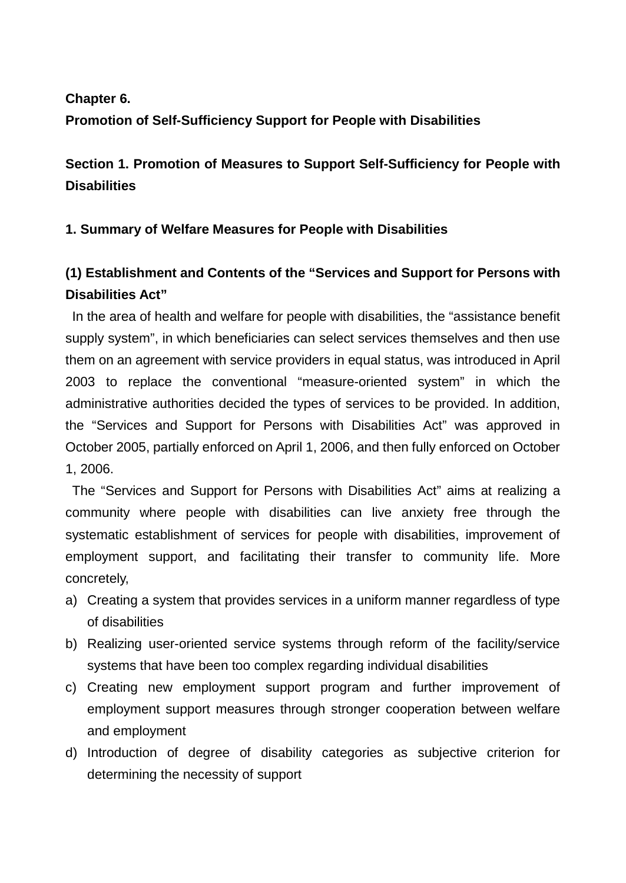### **Chapter 6.**

### **Promotion of Self-Sufficiency Support for People with Disabilities**

**Section 1. Promotion of Measures to Support Self-Sufficiency for People with Disabilities**

### **1. Summary of Welfare Measures for People with Disabilities**

# **(1) Establishment and Contents of the "Services and Support for Persons with Disabilities Act"**

In the area of health and welfare for people with disabilities, the "assistance benefit supply system", in which beneficiaries can select services themselves and then use them on an agreement with service providers in equal status, was introduced in April 2003 to replace the conventional "measure-oriented system" in which the administrative authorities decided the types of services to be provided. In addition, the "Services and Support for Persons with Disabilities Act" was approved in October 2005, partially enforced on April 1, 2006, and then fully enforced on October 1, 2006.

The "Services and Support for Persons with Disabilities Act" aims at realizing a community where people with disabilities can live anxiety free through the systematic establishment of services for people with disabilities, improvement of employment support, and facilitating their transfer to community life. More concretely,

- a) Creating a system that provides services in a uniform manner regardless of type of disabilities
- b) Realizing user-oriented service systems through reform of the facility/service systems that have been too complex regarding individual disabilities
- c) Creating new employment support program and further improvement of employment support measures through stronger cooperation between welfare and employment
- d) Introduction of degree of disability categories as subjective criterion for determining the necessity of support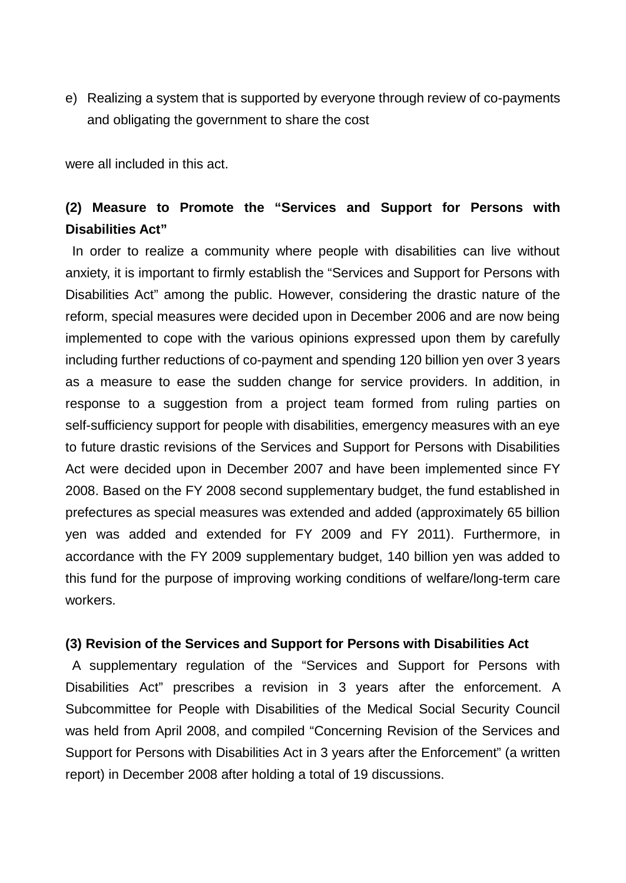e) Realizing a system that is supported by everyone through review of co-payments and obligating the government to share the cost

were all included in this act.

# **(2) Measure to Promote the "Services and Support for Persons with Disabilities Act"**

In order to realize a community where people with disabilities can live without anxiety, it is important to firmly establish the "Services and Support for Persons with Disabilities Act" among the public. However, considering the drastic nature of the reform, special measures were decided upon in December 2006 and are now being implemented to cope with the various opinions expressed upon them by carefully including further reductions of co-payment and spending 120 billion yen over 3 years as a measure to ease the sudden change for service providers. In addition, in response to a suggestion from a project team formed from ruling parties on self-sufficiency support for people with disabilities, emergency measures with an eye to future drastic revisions of the Services and Support for Persons with Disabilities Act were decided upon in December 2007 and have been implemented since FY 2008. Based on the FY 2008 second supplementary budget, the fund established in prefectures as special measures was extended and added (approximately 65 billion yen was added and extended for FY 2009 and FY 2011). Furthermore, in accordance with the FY 2009 supplementary budget, 140 billion yen was added to this fund for the purpose of improving working conditions of welfare/long-term care workers.

### **(3) Revision of the Services and Support for Persons with Disabilities Act**

A supplementary regulation of the "Services and Support for Persons with Disabilities Act" prescribes a revision in 3 years after the enforcement. A Subcommittee for People with Disabilities of the Medical Social Security Council was held from April 2008, and compiled "Concerning Revision of the Services and Support for Persons with Disabilities Act in 3 years after the Enforcement" (a written report) in December 2008 after holding a total of 19 discussions.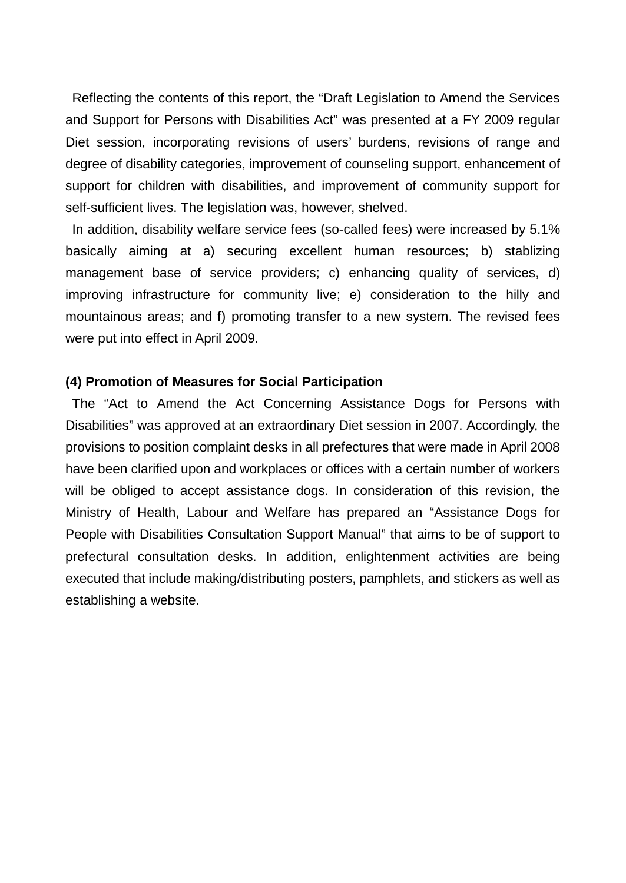Reflecting the contents of this report, the "Draft Legislation to Amend the Services and Support for Persons with Disabilities Act" was presented at a FY 2009 regular Diet session, incorporating revisions of users' burdens, revisions of range and degree of disability categories, improvement of counseling support, enhancement of support for children with disabilities, and improvement of community support for self-sufficient lives. The legislation was, however, shelved.

In addition, disability welfare service fees (so-called fees) were increased by 5.1% basically aiming at a) securing excellent human resources; b) stablizing management base of service providers; c) enhancing quality of services, d) improving infrastructure for community live; e) consideration to the hilly and mountainous areas; and f) promoting transfer to a new system. The revised fees were put into effect in April 2009.

#### **(4) Promotion of Measures for Social Participation**

The "Act to Amend the Act Concerning Assistance Dogs for Persons with Disabilities" was approved at an extraordinary Diet session in 2007. Accordingly, the provisions to position complaint desks in all prefectures that were made in April 2008 have been clarified upon and workplaces or offices with a certain number of workers will be obliged to accept assistance dogs. In consideration of this revision, the Ministry of Health, Labour and Welfare has prepared an "Assistance Dogs for People with Disabilities Consultation Support Manual" that aims to be of support to prefectural consultation desks. In addition, enlightenment activities are being executed that include making/distributing posters, pamphlets, and stickers as well as establishing a website.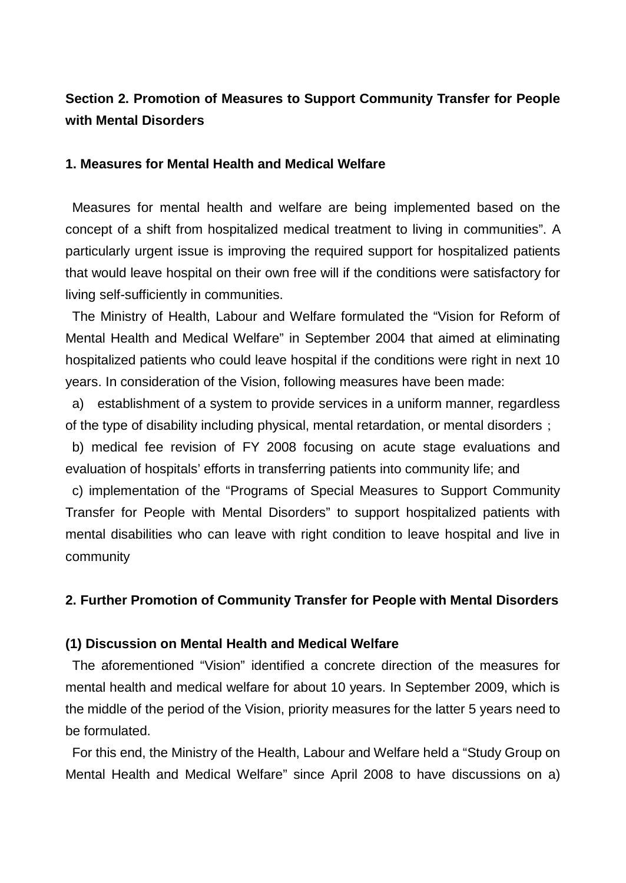# **Section 2. Promotion of Measures to Support Community Transfer for People with Mental Disorders**

#### **1. Measures for Mental Health and Medical Welfare**

Measures for mental health and welfare are being implemented based on the concept of a shift from hospitalized medical treatment to living in communities". A particularly urgent issue is improving the required support for hospitalized patients that would leave hospital on their own free will if the conditions were satisfactory for living self-sufficiently in communities.

The Ministry of Health, Labour and Welfare formulated the "Vision for Reform of Mental Health and Medical Welfare" in September 2004 that aimed at eliminating hospitalized patients who could leave hospital if the conditions were right in next 10 years. In consideration of the Vision, following measures have been made:

a) establishment of a system to provide services in a uniform manner, regardless of the type of disability including physical, mental retardation, or mental disorders;

b) medical fee revision of FY 2008 focusing on acute stage evaluations and evaluation of hospitals' efforts in transferring patients into community life; and

c) implementation of the "Programs of Special Measures to Support Community Transfer for People with Mental Disorders" to support hospitalized patients with mental disabilities who can leave with right condition to leave hospital and live in community

### **2. Further Promotion of Community Transfer for People with Mental Disorders**

#### **(1) Discussion on Mental Health and Medical Welfare**

The aforementioned "Vision" identified a concrete direction of the measures for mental health and medical welfare for about 10 years. In September 2009, which is the middle of the period of the Vision, priority measures for the latter 5 years need to be formulated.

For this end, the Ministry of the Health, Labour and Welfare held a "Study Group on Mental Health and Medical Welfare" since April 2008 to have discussions on a)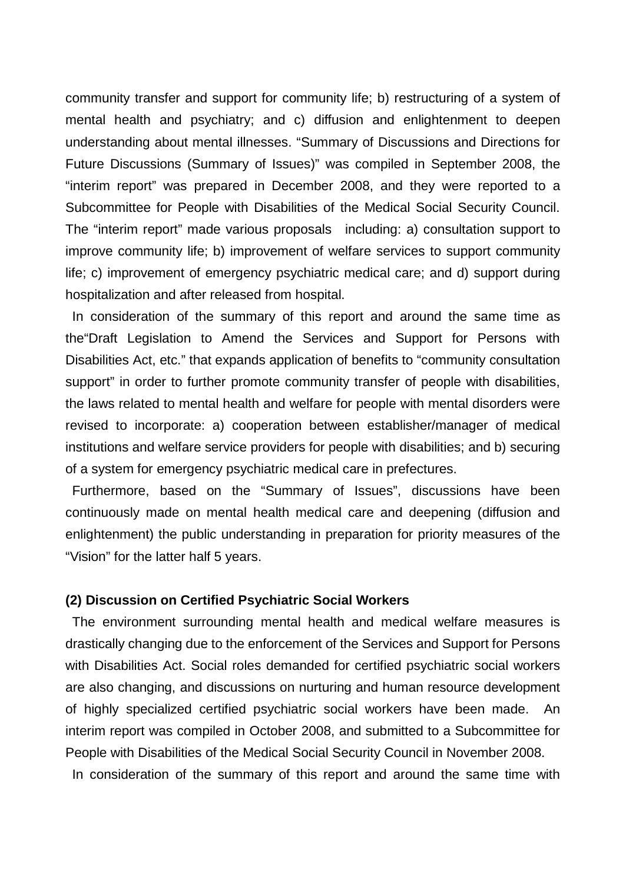community transfer and support for community life; b) restructuring of a system of mental health and psychiatry; and c) diffusion and enlightenment to deepen understanding about mental illnesses. "Summary of Discussions and Directions for Future Discussions (Summary of Issues)" was compiled in September 2008, the "interim report" was prepared in December 2008, and they were reported to a Subcommittee for People with Disabilities of the Medical Social Security Council. The "interim report" made various proposals including: a) consultation support to improve community life; b) improvement of welfare services to support community life; c) improvement of emergency psychiatric medical care; and d) support during hospitalization and after released from hospital.

In consideration of the summary of this report and around the same time as the"Draft Legislation to Amend the Services and Support for Persons with Disabilities Act, etc." that expands application of benefits to "community consultation support" in order to further promote community transfer of people with disabilities, the laws related to mental health and welfare for people with mental disorders were revised to incorporate: a) cooperation between establisher/manager of medical institutions and welfare service providers for people with disabilities; and b) securing of a system for emergency psychiatric medical care in prefectures.

Furthermore, based on the "Summary of Issues", discussions have been continuously made on mental health medical care and deepening (diffusion and enlightenment) the public understanding in preparation for priority measures of the "Vision" for the latter half 5 years.

#### **(2) Discussion on Certified Psychiatric Social Workers**

The environment surrounding mental health and medical welfare measures is drastically changing due to the enforcement of the Services and Support for Persons with Disabilities Act. Social roles demanded for certified psychiatric social workers are also changing, and discussions on nurturing and human resource development of highly specialized certified psychiatric social workers have been made. An interim report was compiled in October 2008, and submitted to a Subcommittee for People with Disabilities of the Medical Social Security Council in November 2008. In consideration of the summary of this report and around the same time with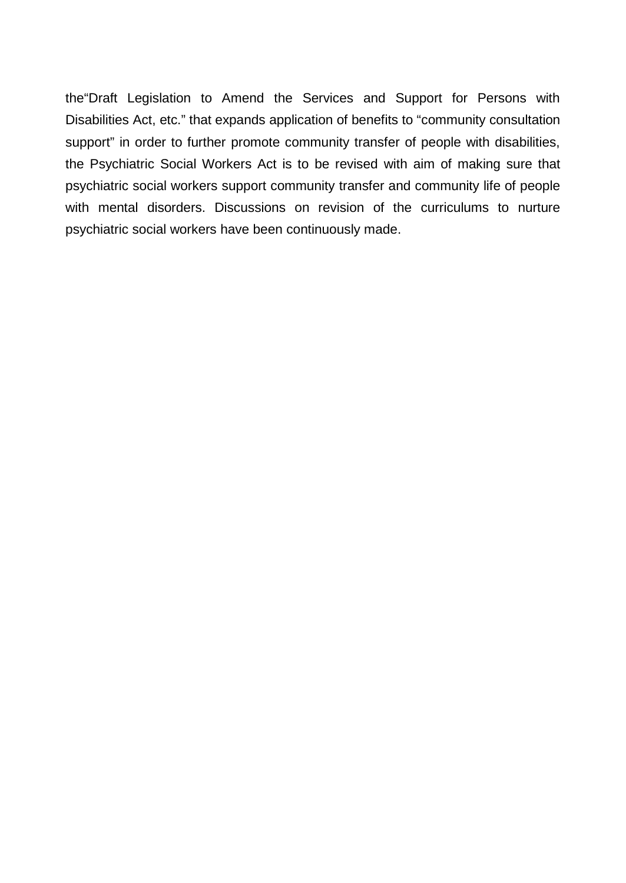the"Draft Legislation to Amend the Services and Support for Persons with Disabilities Act, etc." that expands application of benefits to "community consultation support" in order to further promote community transfer of people with disabilities, the Psychiatric Social Workers Act is to be revised with aim of making sure that psychiatric social workers support community transfer and community life of people with mental disorders. Discussions on revision of the curriculums to nurture psychiatric social workers have been continuously made.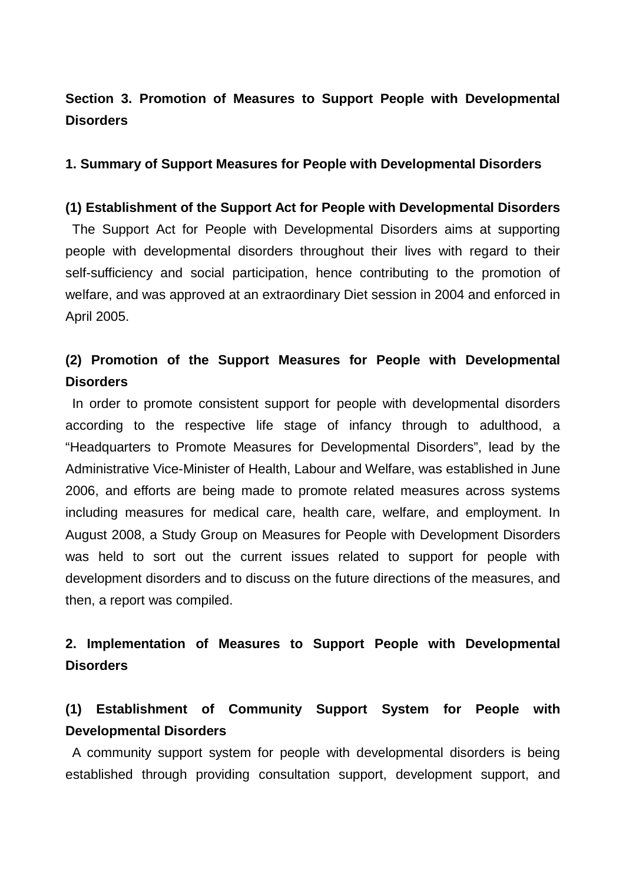# **Section 3. Promotion of Measures to Support People with Developmental Disorders**

### **1. Summary of Support Measures for People with Developmental Disorders**

### **(1) Establishment of the Support Act for People with Developmental Disorders**

The Support Act for People with Developmental Disorders aims at supporting people with developmental disorders throughout their lives with regard to their self-sufficiency and social participation, hence contributing to the promotion of welfare, and was approved at an extraordinary Diet session in 2004 and enforced in April 2005.

# **(2) Promotion of the Support Measures for People with Developmental Disorders**

In order to promote consistent support for people with developmental disorders according to the respective life stage of infancy through to adulthood, a "Headquarters to Promote Measures for Developmental Disorders", lead by the Administrative Vice-Minister of Health, Labour and Welfare, was established in June 2006, and efforts are being made to promote related measures across systems including measures for medical care, health care, welfare, and employment. In August 2008, a Study Group on Measures for People with Development Disorders was held to sort out the current issues related to support for people with development disorders and to discuss on the future directions of the measures, and then, a report was compiled.

# **2. Implementation of Measures to Support People with Developmental Disorders**

# **(1) Establishment of Community Support System for People with Developmental Disorders**

A community support system for people with developmental disorders is being established through providing consultation support, development support, and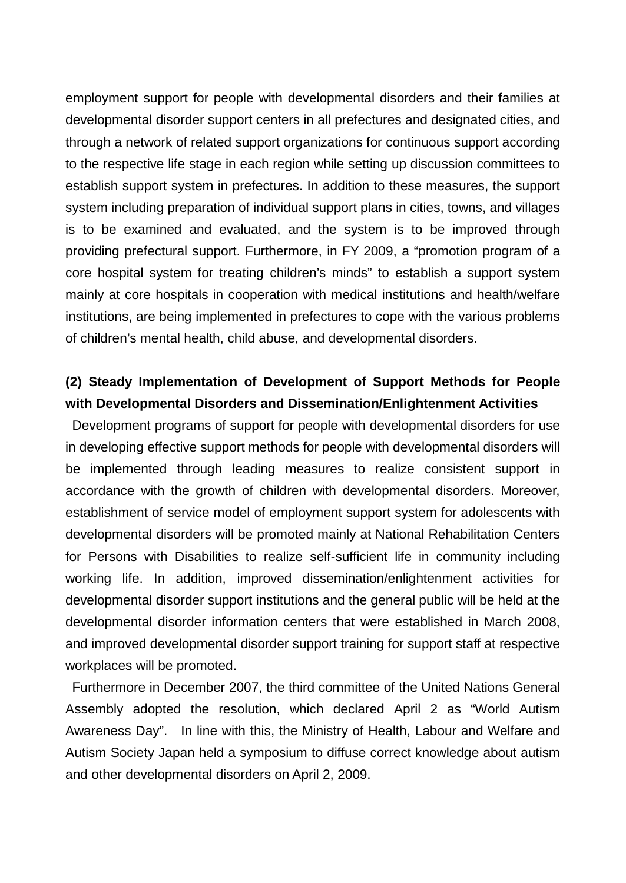employment support for people with developmental disorders and their families at developmental disorder support centers in all prefectures and designated cities, and through a network of related support organizations for continuous support according to the respective life stage in each region while setting up discussion committees to establish support system in prefectures. In addition to these measures, the support system including preparation of individual support plans in cities, towns, and villages is to be examined and evaluated, and the system is to be improved through providing prefectural support. Furthermore, in FY 2009, a "promotion program of a core hospital system for treating children's minds" to establish a support system mainly at core hospitals in cooperation with medical institutions and health/welfare institutions, are being implemented in prefectures to cope with the various problems of children's mental health, child abuse, and developmental disorders.

# **(2) Steady Implementation of Development of Support Methods for People with Developmental Disorders and Dissemination/Enlightenment Activities**

Development programs of support for people with developmental disorders for use in developing effective support methods for people with developmental disorders will be implemented through leading measures to realize consistent support in accordance with the growth of children with developmental disorders. Moreover, establishment of service model of employment support system for adolescents with developmental disorders will be promoted mainly at National Rehabilitation Centers for Persons with Disabilities to realize self-sufficient life in community including working life. In addition, improved dissemination/enlightenment activities for developmental disorder support institutions and the general public will be held at the developmental disorder information centers that were established in March 2008, and improved developmental disorder support training for support staff at respective workplaces will be promoted.

Furthermore in December 2007, the third committee of the United Nations General Assembly adopted the resolution, which declared April 2 as "World Autism Awareness Day". In line with this, the Ministry of Health, Labour and Welfare and Autism Society Japan held a symposium to diffuse correct knowledge about autism and other developmental disorders on April 2, 2009.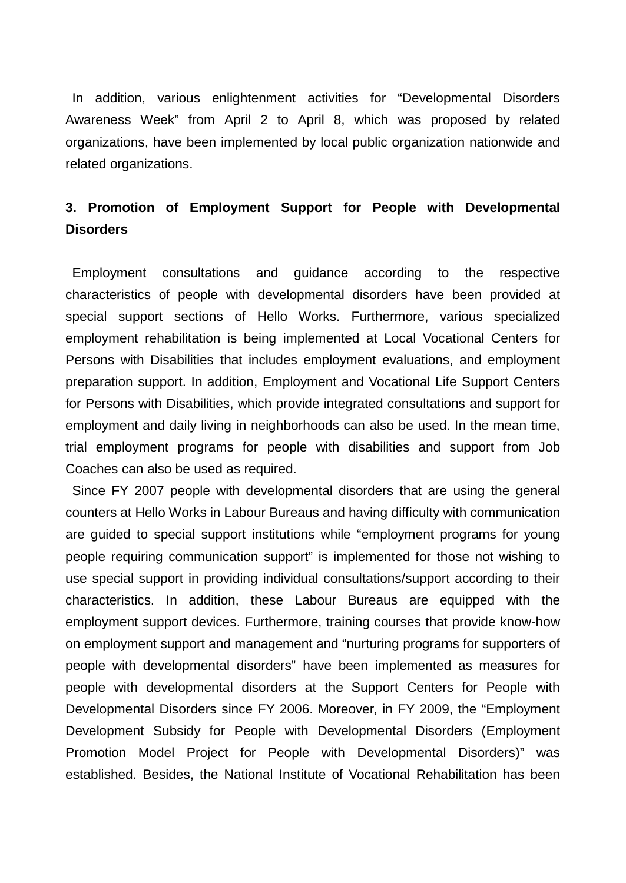In addition, various enlightenment activities for "Developmental Disorders Awareness Week" from April 2 to April 8, which was proposed by related organizations, have been implemented by local public organization nationwide and related organizations.

# **3. Promotion of Employment Support for People with Developmental Disorders**

Employment consultations and guidance according to the respective characteristics of people with developmental disorders have been provided at special support sections of Hello Works. Furthermore, various specialized employment rehabilitation is being implemented at Local Vocational Centers for Persons with Disabilities that includes employment evaluations, and employment preparation support. In addition, Employment and Vocational Life Support Centers for Persons with Disabilities, which provide integrated consultations and support for employment and daily living in neighborhoods can also be used. In the mean time, trial employment programs for people with disabilities and support from Job Coaches can also be used as required.

Since FY 2007 people with developmental disorders that are using the general counters at Hello Works in Labour Bureaus and having difficulty with communication are guided to special support institutions while "employment programs for young people requiring communication support" is implemented for those not wishing to use special support in providing individual consultations/support according to their characteristics. In addition, these Labour Bureaus are equipped with the employment support devices. Furthermore, training courses that provide know-how on employment support and management and "nurturing programs for supporters of people with developmental disorders" have been implemented as measures for people with developmental disorders at the Support Centers for People with Developmental Disorders since FY 2006. Moreover, in FY 2009, the "Employment Development Subsidy for People with Developmental Disorders (Employment Promotion Model Project for People with Developmental Disorders)" was established. Besides, the National Institute of Vocational Rehabilitation has been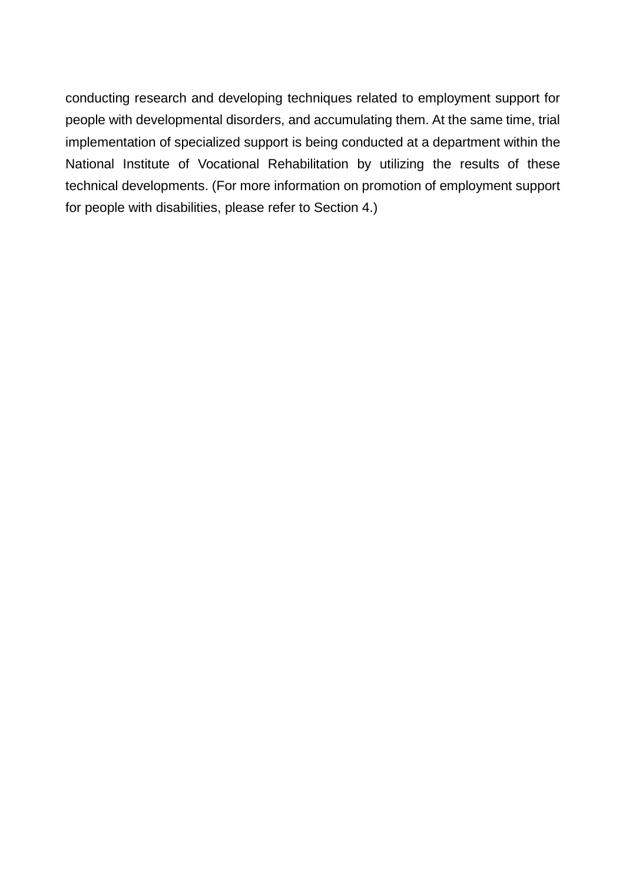conducting research and developing techniques related to employment support for people with developmental disorders, and accumulating them. At the same time, trial implementation of specialized support is being conducted at a department within the National Institute of Vocational Rehabilitation by utilizing the results of these technical developments. (For more information on promotion of employment support for people with disabilities, please refer to Section 4.)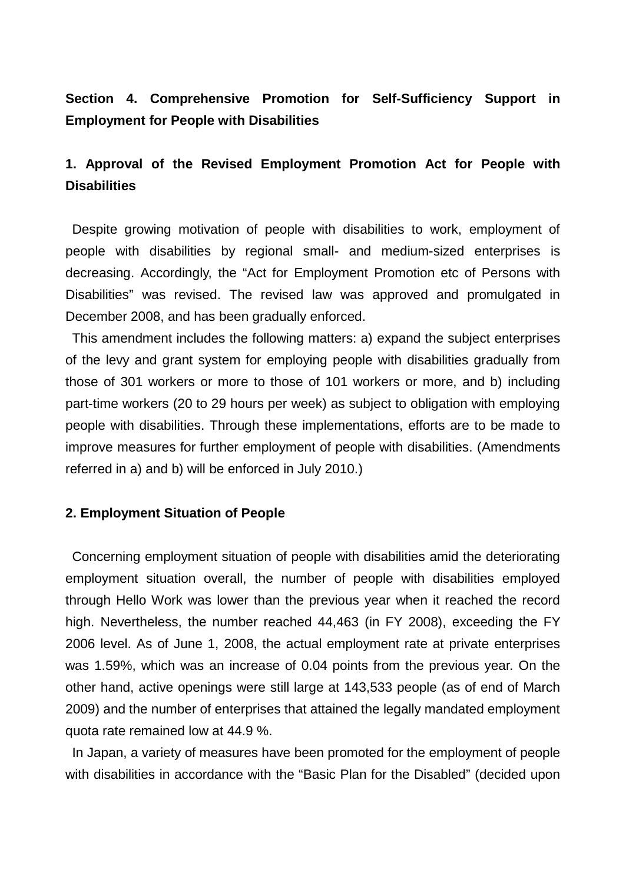## **Section 4. Comprehensive Promotion for Self-Sufficiency Support in Employment for People with Disabilities**

# **1. Approval of the Revised Employment Promotion Act for People with Disabilities**

Despite growing motivation of people with disabilities to work, employment of people with disabilities by regional small- and medium-sized enterprises is decreasing. Accordingly, the "Act for Employment Promotion etc of Persons with Disabilities" was revised. The revised law was approved and promulgated in December 2008, and has been gradually enforced.

This amendment includes the following matters: a) expand the subject enterprises of the levy and grant system for employing people with disabilities gradually from those of 301 workers or more to those of 101 workers or more, and b) including part-time workers (20 to 29 hours per week) as subject to obligation with employing people with disabilities. Through these implementations, efforts are to be made to improve measures for further employment of people with disabilities. (Amendments referred in a) and b) will be enforced in July 2010.)

#### **2. Employment Situation of People**

Concerning employment situation of people with disabilities amid the deteriorating employment situation overall, the number of people with disabilities employed through Hello Work was lower than the previous year when it reached the record high. Nevertheless, the number reached 44,463 (in FY 2008), exceeding the FY 2006 level. As of June 1, 2008, the actual employment rate at private enterprises was 1.59%, which was an increase of 0.04 points from the previous year. On the other hand, active openings were still large at 143,533 people (as of end of March 2009) and the number of enterprises that attained the legally mandated employment quota rate remained low at 44.9 %.

In Japan, a variety of measures have been promoted for the employment of people with disabilities in accordance with the "Basic Plan for the Disabled" (decided upon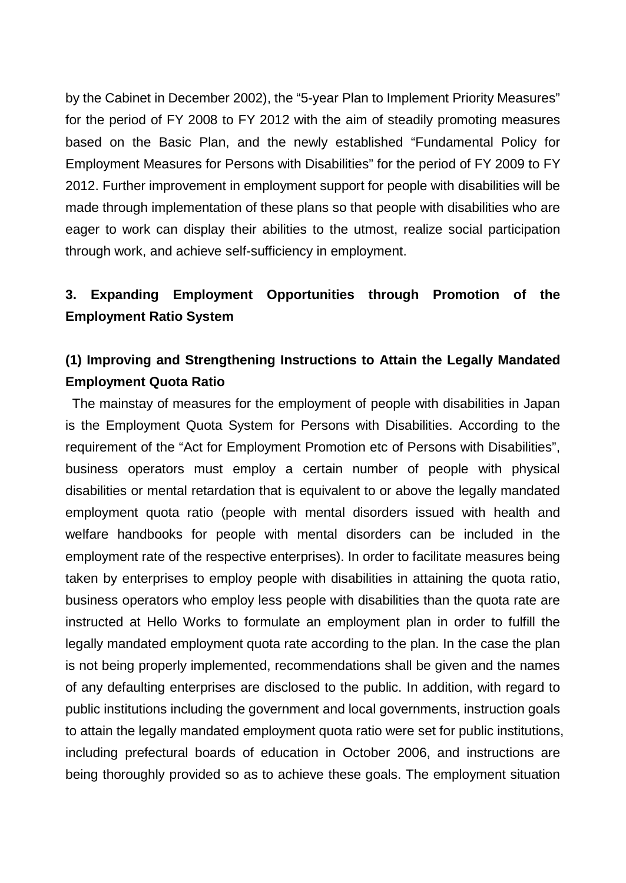by the Cabinet in December 2002), the "5-year Plan to Implement Priority Measures" for the period of FY 2008 to FY 2012 with the aim of steadily promoting measures based on the Basic Plan, and the newly established "Fundamental Policy for Employment Measures for Persons with Disabilities" for the period of FY 2009 to FY 2012. Further improvement in employment support for people with disabilities will be made through implementation of these plans so that people with disabilities who are eager to work can display their abilities to the utmost, realize social participation through work, and achieve self-sufficiency in employment.

# **3. Expanding Employment Opportunities through Promotion of the Employment Ratio System**

# **(1) Improving and Strengthening Instructions to Attain the Legally Mandated Employment Quota Ratio**

The mainstay of measures for the employment of people with disabilities in Japan is the Employment Quota System for Persons with Disabilities. According to the requirement of the "Act for Employment Promotion etc of Persons with Disabilities", business operators must employ a certain number of people with physical disabilities or mental retardation that is equivalent to or above the legally mandated employment quota ratio (people with mental disorders issued with health and welfare handbooks for people with mental disorders can be included in the employment rate of the respective enterprises). In order to facilitate measures being taken by enterprises to employ people with disabilities in attaining the quota ratio, business operators who employ less people with disabilities than the quota rate are instructed at Hello Works to formulate an employment plan in order to fulfill the legally mandated employment quota rate according to the plan. In the case the plan is not being properly implemented, recommendations shall be given and the names of any defaulting enterprises are disclosed to the public. In addition, with regard to public institutions including the government and local governments, instruction goals to attain the legally mandated employment quota ratio were set for public institutions, including prefectural boards of education in October 2006, and instructions are being thoroughly provided so as to achieve these goals. The employment situation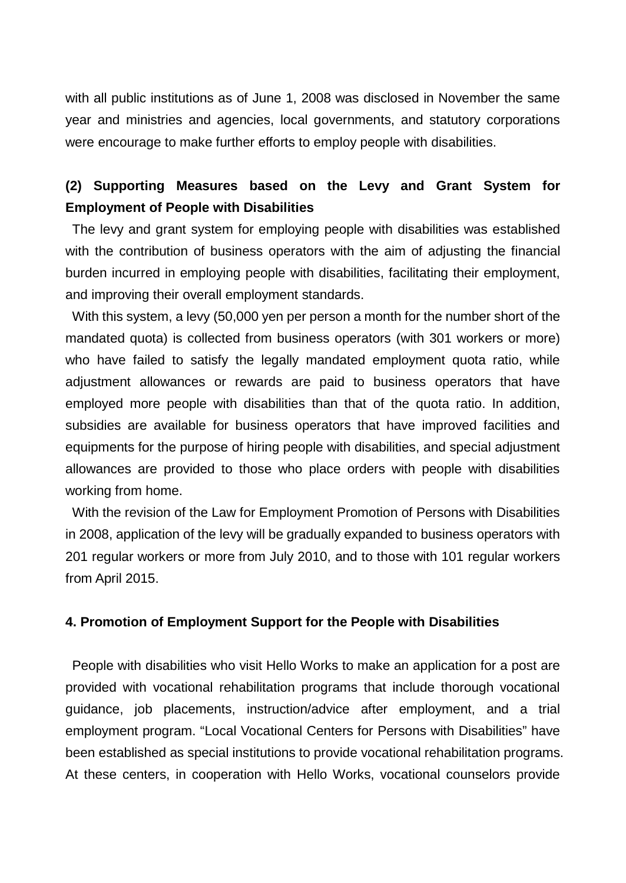with all public institutions as of June 1, 2008 was disclosed in November the same year and ministries and agencies, local governments, and statutory corporations were encourage to make further efforts to employ people with disabilities.

## **(2) Supporting Measures based on the Levy and Grant System for Employment of People with Disabilities**

The levy and grant system for employing people with disabilities was established with the contribution of business operators with the aim of adjusting the financial burden incurred in employing people with disabilities, facilitating their employment, and improving their overall employment standards.

With this system, a levy (50,000 yen per person a month for the number short of the mandated quota) is collected from business operators (with 301 workers or more) who have failed to satisfy the legally mandated employment quota ratio, while adjustment allowances or rewards are paid to business operators that have employed more people with disabilities than that of the quota ratio. In addition, subsidies are available for business operators that have improved facilities and equipments for the purpose of hiring people with disabilities, and special adjustment allowances are provided to those who place orders with people with disabilities working from home.

With the revision of the Law for Employment Promotion of Persons with Disabilities in 2008, application of the levy will be gradually expanded to business operators with 201 regular workers or more from July 2010, and to those with 101 regular workers from April 2015.

#### **4. Promotion of Employment Support for the People with Disabilities**

People with disabilities who visit Hello Works to make an application for a post are provided with vocational rehabilitation programs that include thorough vocational guidance, job placements, instruction/advice after employment, and a trial employment program. "Local Vocational Centers for Persons with Disabilities" have been established as special institutions to provide vocational rehabilitation programs. At these centers, in cooperation with Hello Works, vocational counselors provide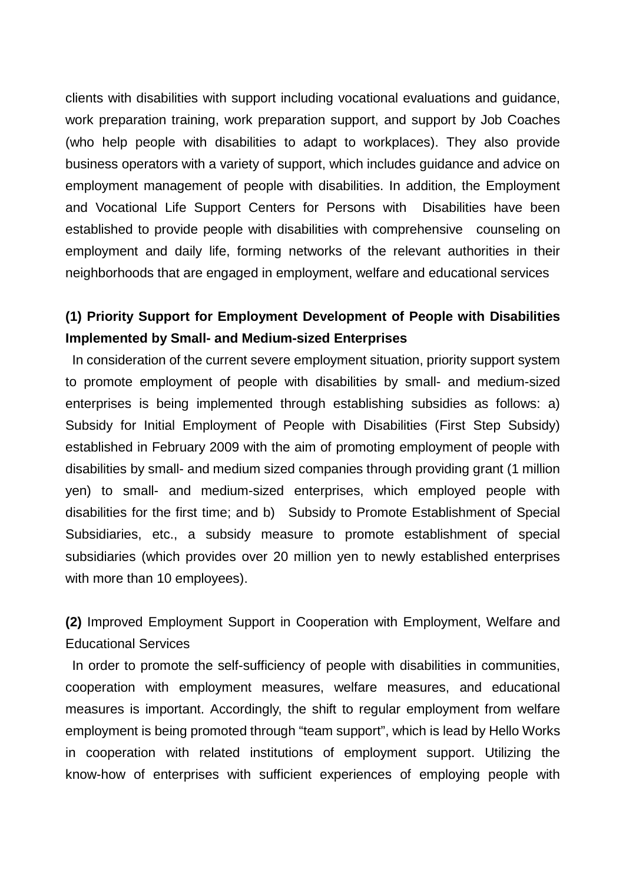clients with disabilities with support including vocational evaluations and guidance, work preparation training, work preparation support, and support by Job Coaches (who help people with disabilities to adapt to workplaces). They also provide business operators with a variety of support, which includes guidance and advice on employment management of people with disabilities. In addition, the Employment and Vocational Life Support Centers for Persons with Disabilities have been established to provide people with disabilities with comprehensive counseling on employment and daily life, forming networks of the relevant authorities in their neighborhoods that are engaged in employment, welfare and educational services

# **(1) Priority Support for Employment Development of People with Disabilities Implemented by Small- and Medium-sized Enterprises**

In consideration of the current severe employment situation, priority support system to promote employment of people with disabilities by small- and medium-sized enterprises is being implemented through establishing subsidies as follows: a) Subsidy for Initial Employment of People with Disabilities (First Step Subsidy) established in February 2009 with the aim of promoting employment of people with disabilities by small- and medium sized companies through providing grant (1 million yen) to small- and medium-sized enterprises, which employed people with disabilities for the first time; and b) Subsidy to Promote Establishment of Special Subsidiaries, etc., a subsidy measure to promote establishment of special subsidiaries (which provides over 20 million yen to newly established enterprises with more than 10 employees).

**(2)** Improved Employment Support in Cooperation with Employment, Welfare and Educational Services

In order to promote the self-sufficiency of people with disabilities in communities, cooperation with employment measures, welfare measures, and educational measures is important. Accordingly, the shift to regular employment from welfare employment is being promoted through "team support", which is lead by Hello Works in cooperation with related institutions of employment support. Utilizing the know-how of enterprises with sufficient experiences of employing people with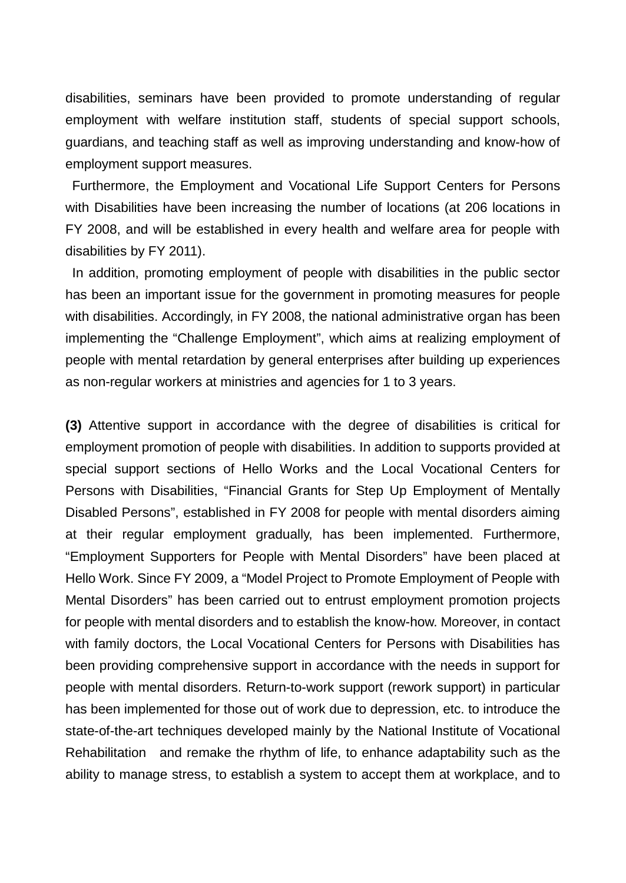disabilities, seminars have been provided to promote understanding of regular employment with welfare institution staff, students of special support schools, guardians, and teaching staff as well as improving understanding and know-how of employment support measures.

Furthermore, the Employment and Vocational Life Support Centers for Persons with Disabilities have been increasing the number of locations (at 206 locations in FY 2008, and will be established in every health and welfare area for people with disabilities by FY 2011).

In addition, promoting employment of people with disabilities in the public sector has been an important issue for the government in promoting measures for people with disabilities. Accordingly, in FY 2008, the national administrative organ has been implementing the "Challenge Employment", which aims at realizing employment of people with mental retardation by general enterprises after building up experiences as non-regular workers at ministries and agencies for 1 to 3 years.

**(3)** Attentive support in accordance with the degree of disabilities is critical for employment promotion of people with disabilities. In addition to supports provided at special support sections of Hello Works and the Local Vocational Centers for Persons with Disabilities, "Financial Grants for Step Up Employment of Mentally Disabled Persons", established in FY 2008 for people with mental disorders aiming at their regular employment gradually, has been implemented. Furthermore, "Employment Supporters for People with Mental Disorders" have been placed at Hello Work. Since FY 2009, a "Model Project to Promote Employment of People with Mental Disorders" has been carried out to entrust employment promotion projects for people with mental disorders and to establish the know-how. Moreover, in contact with family doctors, the Local Vocational Centers for Persons with Disabilities has been providing comprehensive support in accordance with the needs in support for people with mental disorders. Return-to-work support (rework support) in particular has been implemented for those out of work due to depression, etc. to introduce the state-of-the-art techniques developed mainly by the National Institute of Vocational Rehabilitation and remake the rhythm of life, to enhance adaptability such as the ability to manage stress, to establish a system to accept them at workplace, and to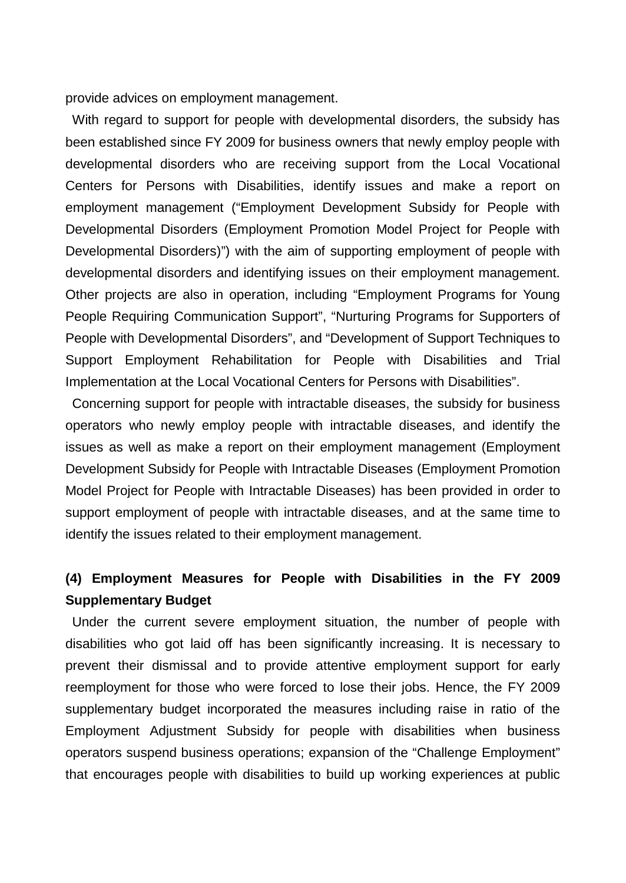provide advices on employment management.

With regard to support for people with developmental disorders, the subsidy has been established since FY 2009 for business owners that newly employ people with developmental disorders who are receiving support from the Local Vocational Centers for Persons with Disabilities, identify issues and make a report on employment management ("Employment Development Subsidy for People with Developmental Disorders (Employment Promotion Model Project for People with Developmental Disorders)") with the aim of supporting employment of people with developmental disorders and identifying issues on their employment management. Other projects are also in operation, including "Employment Programs for Young People Requiring Communication Support", "Nurturing Programs for Supporters of People with Developmental Disorders", and "Development of Support Techniques to Support Employment Rehabilitation for People with Disabilities and Trial Implementation at the Local Vocational Centers for Persons with Disabilities".

Concerning support for people with intractable diseases, the subsidy for business operators who newly employ people with intractable diseases, and identify the issues as well as make a report on their employment management (Employment Development Subsidy for People with Intractable Diseases (Employment Promotion Model Project for People with Intractable Diseases) has been provided in order to support employment of people with intractable diseases, and at the same time to identify the issues related to their employment management.

# **(4) Employment Measures for People with Disabilities in the FY 2009 Supplementary Budget**

Under the current severe employment situation, the number of people with disabilities who got laid off has been significantly increasing. It is necessary to prevent their dismissal and to provide attentive employment support for early reemployment for those who were forced to lose their jobs. Hence, the FY 2009 supplementary budget incorporated the measures including raise in ratio of the Employment Adjustment Subsidy for people with disabilities when business operators suspend business operations; expansion of the "Challenge Employment" that encourages people with disabilities to build up working experiences at public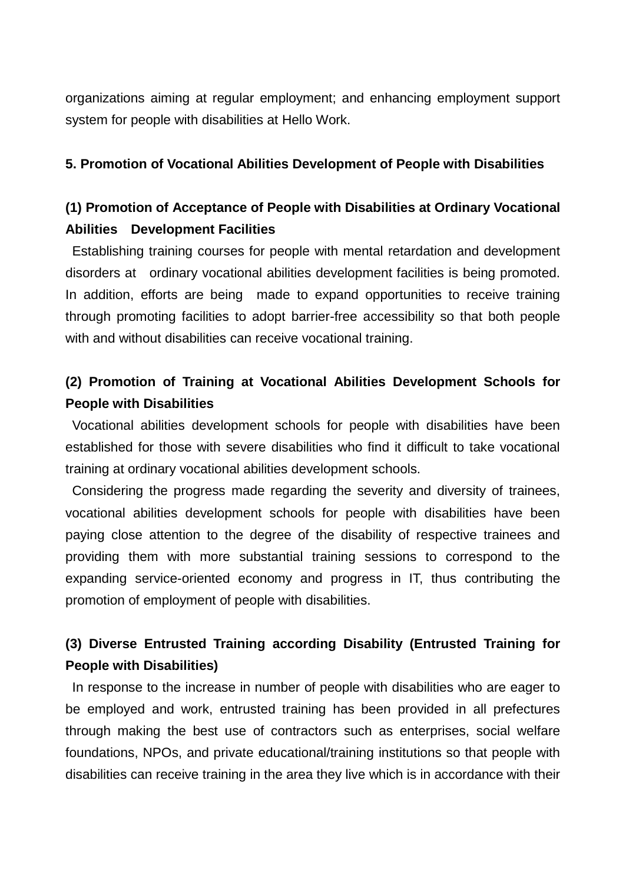organizations aiming at regular employment; and enhancing employment support system for people with disabilities at Hello Work.

#### **5. Promotion of Vocational Abilities Development of People with Disabilities**

# **(1) Promotion of Acceptance of People with Disabilities at Ordinary Vocational Abilities Development Facilities**

Establishing training courses for people with mental retardation and development disorders at ordinary vocational abilities development facilities is being promoted. In addition, efforts are being made to expand opportunities to receive training through promoting facilities to adopt barrier-free accessibility so that both people with and without disabilities can receive vocational training.

# **(2) Promotion of Training at Vocational Abilities Development Schools for People with Disabilities**

Vocational abilities development schools for people with disabilities have been established for those with severe disabilities who find it difficult to take vocational training at ordinary vocational abilities development schools.

Considering the progress made regarding the severity and diversity of trainees, vocational abilities development schools for people with disabilities have been paying close attention to the degree of the disability of respective trainees and providing them with more substantial training sessions to correspond to the expanding service-oriented economy and progress in IT, thus contributing the promotion of employment of people with disabilities.

# **(3) Diverse Entrusted Training according Disability (Entrusted Training for People with Disabilities)**

In response to the increase in number of people with disabilities who are eager to be employed and work, entrusted training has been provided in all prefectures through making the best use of contractors such as enterprises, social welfare foundations, NPOs, and private educational/training institutions so that people with disabilities can receive training in the area they live which is in accordance with their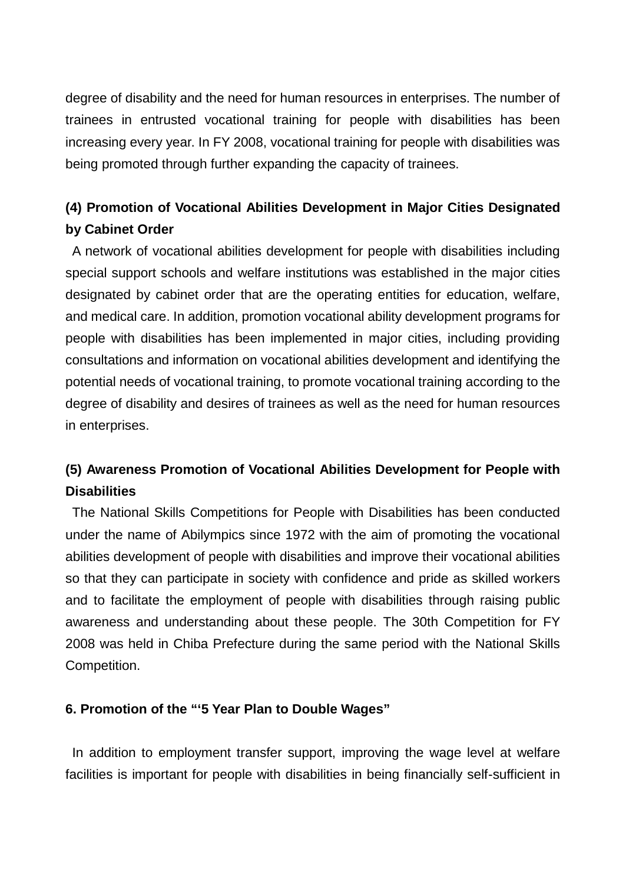degree of disability and the need for human resources in enterprises. The number of trainees in entrusted vocational training for people with disabilities has been increasing every year. In FY 2008, vocational training for people with disabilities was being promoted through further expanding the capacity of trainees.

# **(4) Promotion of Vocational Abilities Development in Major Cities Designated by Cabinet Order**

A network of vocational abilities development for people with disabilities including special support schools and welfare institutions was established in the major cities designated by cabinet order that are the operating entities for education, welfare, and medical care. In addition, promotion vocational ability development programs for people with disabilities has been implemented in major cities, including providing consultations and information on vocational abilities development and identifying the potential needs of vocational training, to promote vocational training according to the degree of disability and desires of trainees as well as the need for human resources in enterprises.

# **(5) Awareness Promotion of Vocational Abilities Development for People with Disabilities**

The National Skills Competitions for People with Disabilities has been conducted under the name of Abilympics since 1972 with the aim of promoting the vocational abilities development of people with disabilities and improve their vocational abilities so that they can participate in society with confidence and pride as skilled workers and to facilitate the employment of people with disabilities through raising public awareness and understanding about these people. The 30th Competition for FY 2008 was held in Chiba Prefecture during the same period with the National Skills Competition.

### **6. Promotion of the "'5 Year Plan to Double Wages"**

In addition to employment transfer support, improving the wage level at welfare facilities is important for people with disabilities in being financially self-sufficient in